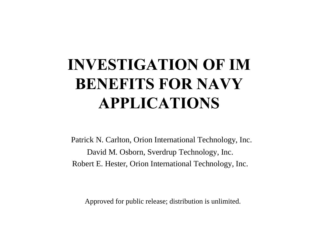# **INVESTIGATION OF IM BENEFITS FOR NAVY APPLICATIONS**

Patrick N. Carlton, Orion International Technology, Inc. David M. Osborn, Sverdrup Technology, Inc. Robert E. Hester, Orion International Technology, Inc.

Approved for public release; distribution is unlimited.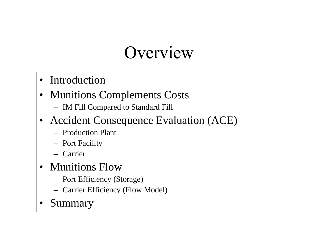# Overview

- Introduction
- Munitions Complements Costs
	- IM Fill Compared to Standard Fill
- Accident Consequence Evaluation (ACE)
	- Production Plant
	- Port Facility
	- Carrier
- Munitions Flow
	- Port Efficiency (Storage)
	- Carrier Efficiency (Flow Model)
- **Summary**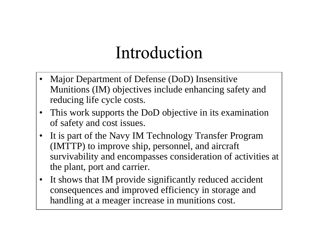# Introduction

- Major Department of Defense (DoD) Insensitive Munitions (IM) objectives include enhancing safety and reducing life cycle costs.
- This work supports the DoD objective in its examination of safety and cost issues.
- It is part of the Navy IM Technology Transfer Program (IMTTP) to improve ship, personnel, and aircraft survivability and encompasses consideration of activities at the plant, port and carrier.
- It shows that IM provide significantly reduced accident consequences and improved efficiency in storage and handling at a meager increase in munitions cost.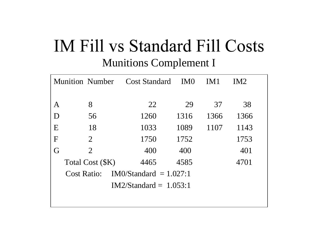### IM Fill vs Standard Fill Costs Munitions Complement I

|             | <b>Munition Number</b>                         |                | <b>Cost Standard</b> | IM <sub>0</sub> | IM1  | IM <sub>2</sub> |  |
|-------------|------------------------------------------------|----------------|----------------------|-----------------|------|-----------------|--|
|             |                                                |                |                      |                 |      |                 |  |
| A           |                                                | 8              | 22                   | 29              | 37   | 38              |  |
| D           |                                                | 56             | 1260                 | 1316            | 1366 | 1366            |  |
| $\mathbf E$ |                                                | 18             | 1033                 | 1089            | 1107 | 1143            |  |
| F           |                                                | 2              | 1750                 | 1752            |      | 1753            |  |
| G           |                                                | $\overline{2}$ | 400                  | 400             |      | 401             |  |
|             | Total Cost (\$K)                               |                | 4465                 | 4585            |      | 4701            |  |
|             | $IM0/Standard = 1.027:1$<br><b>Cost Ratio:</b> |                |                      |                 |      |                 |  |
|             | $IM2/Standard = 1.053:1$                       |                |                      |                 |      |                 |  |
|             |                                                |                |                      |                 |      |                 |  |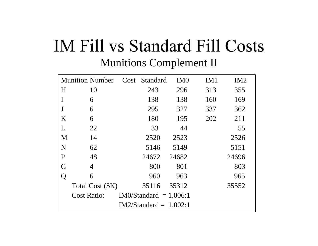### IM Fill vs Standard Fill Costs Munitions Complement II

| <b>Munition Number</b> |                                                |  | Cost Standard            | IM <sub>0</sub> | IM <sub>1</sub> | IM <sub>2</sub> |  |
|------------------------|------------------------------------------------|--|--------------------------|-----------------|-----------------|-----------------|--|
| H                      | 10                                             |  | 243                      | 296             | 313             | 355             |  |
|                        | 6                                              |  | 138                      | 138             | 160             | 169             |  |
| J                      | 6                                              |  | 295                      | 327             | 337             | 362             |  |
| K                      | 6                                              |  | 180                      | 195             | 202             | 211             |  |
| L                      | 22                                             |  | 33                       | 44              |                 | 55              |  |
| M                      | 14                                             |  | 2520                     | 2523            |                 | 2526            |  |
| N                      | 62                                             |  | 5146                     | 5149            |                 | 5151            |  |
| $\mathbf{P}$           | 48                                             |  | 24672                    | 24682           |                 | 24696           |  |
| G                      | 4                                              |  | 800                      | 801             |                 | 803             |  |
| Q                      | 6                                              |  | 960                      | 963             |                 | 965             |  |
|                        | Total Cost (\$K)                               |  | 35116                    | 35312           |                 | 35552           |  |
|                        | <b>Cost Ratio:</b><br>$IM0/Standard = 1.006:1$ |  |                          |                 |                 |                 |  |
|                        |                                                |  | $IM2/Standard = 1.002:1$ |                 |                 |                 |  |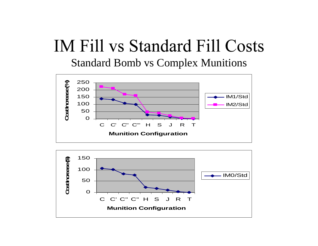### **IM Fill vs Standard Fill Costs** Standard Bomb vs Complex Munitions



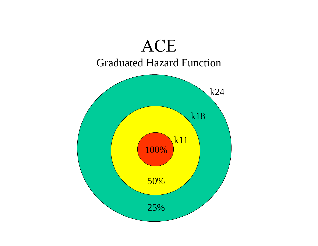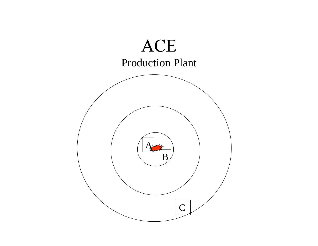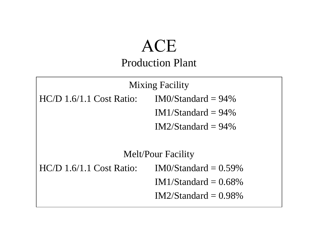#### ACE Production Plant

Mixing Facility  $HC/D$  1.6/1.1 Cost Ratio: IM0/Standard = 94% IM1/Standard  $= 94\%$  $IM2/Standard = 94\%$ Melt/Pour Facility  $HC/D$  1.6/1.1 Cost Ratio: IM0/Standard = 0.59% IM1/Standard  $= 0.68\%$  $IM2/Standard = 0.98\%$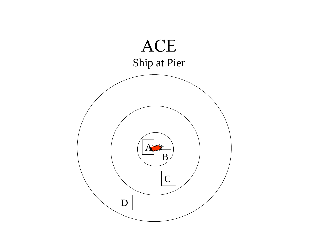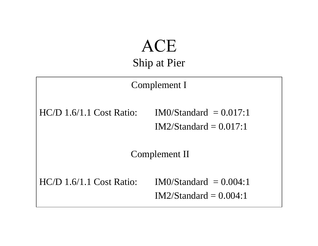#### **ACE** Ship at Pier



 $HC/D$  1.6/1.1 Cost Ratio: IM0/Standard = 0.004:1  $IM2/Standard = 0.004:1$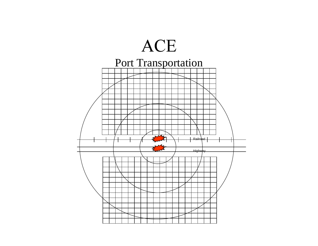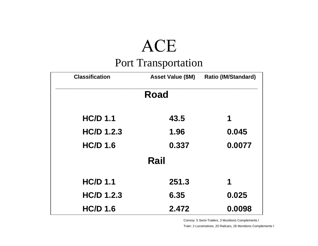# **ACE**

#### Port Transportation

| <b>Classification</b> | <b>Asset Value (\$M)</b> | <b>Ratio (IM/Standard)</b> |
|-----------------------|--------------------------|----------------------------|
|                       | <b>Road</b>              |                            |
| <b>HC/D 1.1</b>       | 43.5                     | 1                          |
| <b>HC/D 1.2.3</b>     | 1.96                     | 0.045                      |
| <b>HC/D 1.6</b>       | 0.337                    | 0.0077                     |
|                       | Rail                     |                            |
| <b>HC/D 1.1</b>       | 251.3                    | 1                          |
| <b>HC/D 1.2.3</b>     | 6.35                     | 0.025                      |
| <b>HC/D 1.6</b>       | 2.472                    | 0.0098                     |

Convoy: 5 Semi-Trailers, 3 Munitions Complements I

Train: 2 Locomotives, 20 Railcars, 26 Munitions Complements I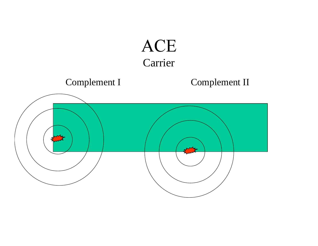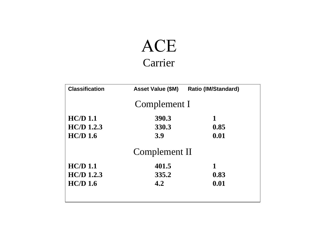### **ACE** Carrier

| <b>Classification</b> | <b>Asset Value (\$M)</b> | <b>Ratio (IM/Standard)</b> |
|-----------------------|--------------------------|----------------------------|
|                       | Complement I             |                            |
| $HC/D$ 1.1            | 390.3                    | 1                          |
| $HC/D$ 1.2.3          | 330.3                    | 0.85                       |
| $HC/D$ 1.6            | 3.9                      | 0.01                       |
|                       | Complement II            |                            |
| HC/D 1.1              | 401.5                    | 1                          |
| $HC/D$ 1.2.3          | 335.2                    | 0.83                       |
| $HC/D$ 1.6            | 4.2                      | 0.01                       |
|                       |                          |                            |
|                       |                          |                            |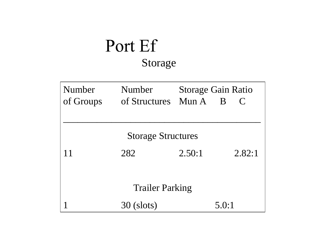### Port Ef Storage

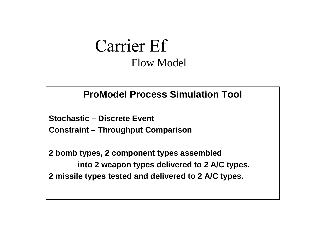#### **Carrier Ef** Flow Model

#### **ProModel Process Simulation Tool**

**Stochastic – Discrete Event**

**Constraint – Throughput Comparison**

**2 bomb types, 2 component types assembled into 2 weapon types delivered to 2 A/C types. 2 missile types tested and delivered to 2 A/C types.**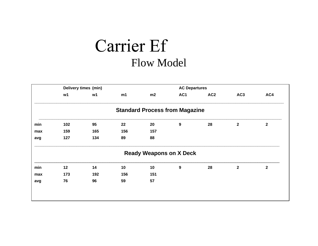### Carrier Ef **Flow Model**

|     | Delivery times (min) |                |     | <b>AC Departures</b>                  |                  |                 |                 |                  |
|-----|----------------------|----------------|-----|---------------------------------------|------------------|-----------------|-----------------|------------------|
|     | w1                   | w <sub>1</sub> | m1  | m2                                    | AC1              | AC <sub>2</sub> | AC <sub>3</sub> | AC4              |
|     |                      |                |     | <b>Standard Process from Magazine</b> |                  |                 |                 |                  |
| min | 102                  | 95             | 22  | 20                                    | $\boldsymbol{9}$ | 28              | $\overline{2}$  | $\boldsymbol{2}$ |
| max | 159                  | 165            | 156 | 157                                   |                  |                 |                 |                  |
| avg | 127                  | 134            | 89  | 88                                    |                  |                 |                 |                  |
|     |                      |                |     | <b>Ready Weapons on X Deck</b>        |                  |                 |                 |                  |
| min | 12                   | 14             | 10  | 10                                    | 9                | 28              | $\mathbf{2}$    | $\overline{2}$   |
| max | 173                  | 192            | 156 | 151                                   |                  |                 |                 |                  |
| avg | 76                   | 96             | 59  | 57                                    |                  |                 |                 |                  |